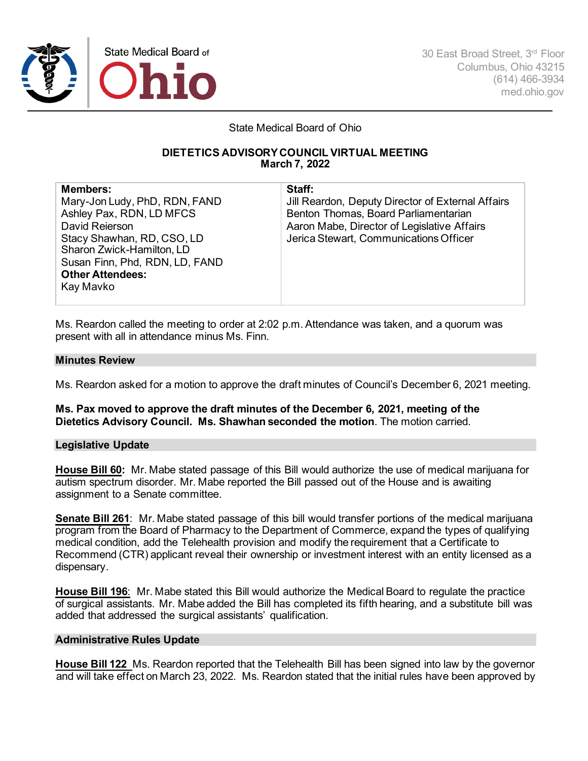

30 East Broad Street, 3rd Floor Columbus, Ohio 43215 (614) 466-3934 med.ohio.gov

State Medical Board of Ohio

# **DIETETICS ADVISORY COUNCIL VIRTUAL MEETING March 7, 2022**

| <b>Members:</b>                | Staff:                                            |
|--------------------------------|---------------------------------------------------|
| Mary-Jon Ludy, PhD, RDN, FAND  | Jill Reardon, Deputy Director of External Affairs |
| Ashley Pax, RDN, LD MFCS       | Benton Thomas, Board Parliamentarian              |
| David Reierson                 | Aaron Mabe, Director of Legislative Affairs       |
| Stacy Shawhan, RD, CSO, LD     | Jerica Stewart, Communications Officer            |
| Sharon Zwick-Hamilton, LD      |                                                   |
| Susan Finn, Phd, RDN, LD, FAND |                                                   |
| <b>Other Attendees:</b>        |                                                   |
| Kay Mavko                      |                                                   |

Ms. Reardon called the meeting to order at 2:02 p.m. Attendance was taken, and a quorum was present with all in attendance minus Ms. Finn.

## **Minutes Review**

Ms. Reardon asked for a motion to approve the draft minutes of Council's December 6, 2021 meeting.

**Ms. Pax moved to approve the draft minutes of the December 6, 2021, meeting of the Dietetics Advisory Council. Ms. Shawhan seconded the motion**. The motion carried.

## **Legislative Update**

**House Bill 60:** Mr. Mabe stated passage of this Bill would authorize the use of medical marijuana for autism spectrum disorder. Mr. Mabe reported the Bill passed out of the House and is awaiting assignment to a Senate committee.

**Senate Bill 261**: Mr. Mabe stated passage of this bill would transfer portions of the medical marijuana program from the Board of Pharmacy to the Department of Commerce, expand the types of qualifying medical condition, add the Telehealth provision and modify the requirement that a Certificate to Recommend (CTR) applicant reveal their ownership or investment interest with an entity licensed as a dispensary.

**House Bill 196**: Mr. Mabe stated this Bill would authorize the Medical Board to regulate the practice of surgical assistants. Mr. Mabe added the Bill has completed its fifth hearing, and a substitute bill was added that addressed the surgical assistants' qualification.

## **Administrative Rules Update**

**House Bill 122** Ms. Reardon reported that the Telehealth Bill has been signed into law by the governor and will take effect on March 23, 2022. Ms. Reardon stated that the initial rules have been approved by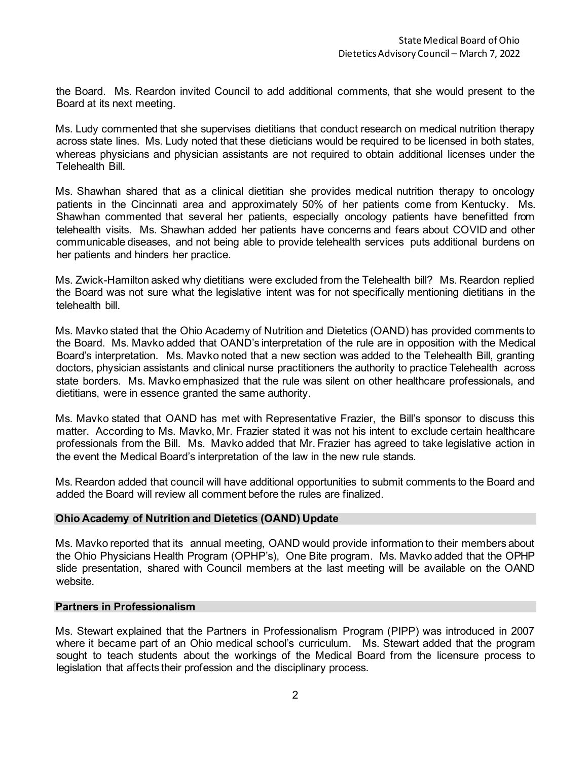the Board. Ms. Reardon invited Council to add additional comments, that she would present to the Board at its next meeting.

Ms. Ludy commented that she supervises dietitians that conduct research on medical nutrition therapy across state lines. Ms. Ludy noted that these dieticians would be required to be licensed in both states, whereas physicians and physician assistants are not required to obtain additional licenses under the Telehealth Bill.

Ms. Shawhan shared that as a clinical dietitian she provides medical nutrition therapy to oncology patients in the Cincinnati area and approximately 50% of her patients come from Kentucky. Ms. Shawhan commented that several her patients, especially oncology patients have benefitted from telehealth visits. Ms. Shawhan added her patients have concerns and fears about COVID and other communicable diseases, and not being able to provide telehealth services puts additional burdens on her patients and hinders her practice.

Ms. Zwick-Hamilton asked why dietitians were excluded from the Telehealth bill? Ms. Reardon replied the Board was not sure what the legislative intent was for not specifically mentioning dietitians in the telehealth bill.

Ms. Mavko stated that the Ohio Academy of Nutrition and Dietetics (OAND) has provided comments to the Board. Ms. Mavko added that OAND's interpretation of the rule are in opposition with the Medical Board's interpretation. Ms. Mavko noted that a new section was added to the Telehealth Bill, granting doctors, physician assistants and clinical nurse practitioners the authority to practice Telehealth across state borders. Ms. Mavko emphasized that the rule was silent on other healthcare professionals, and dietitians, were in essence granted the same authority.

Ms. Mavko stated that OAND has met with Representative Frazier, the Bill's sponsor to discuss this matter. According to Ms. Mavko, Mr. Frazier stated it was not his intent to exclude certain healthcare professionals from the Bill. Ms. Mavko added that Mr. Frazier has agreed to take legislative action in the event the Medical Board's interpretation of the law in the new rule stands.

Ms. Reardon added that council will have additional opportunities to submit comments to the Board and added the Board will review all comment before the rules are finalized.

## **Ohio Academy of Nutrition and Dietetics (OAND) Update**

Ms. Mavko reported that its annual meeting, OAND would provide information to their members about the Ohio Physicians Health Program (OPHP's), One Bite program. Ms. Mavko added that the OPHP slide presentation, shared with Council members at the last meeting will be available on the OAND website.

## **Partners in Professionalism**

Ms. Stewart explained that the Partners in Professionalism Program (PIPP) was introduced in 2007 where it became part of an Ohio medical school's curriculum. Ms. Stewart added that the program sought to teach students about the workings of the Medical Board from the licensure process to legislation that affects their profession and the disciplinary process.